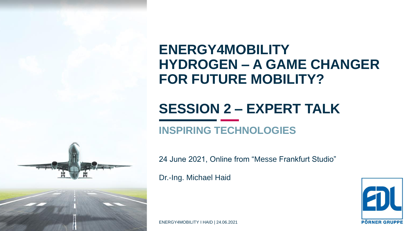

### **ENERGY4MOBILITY HYDROGEN – A GAME CHANGER FOR FUTURE MOBILITY?**

# **SESSION 2 – EXPERT TALK**

### **INSPIRING TECHNOLOGIES**

24 June 2021, Online from "Messe Frankfurt Studio"

Dr.-Ing. Michael Haid



ENERGY4MOBILITY I HAID | 24.06.2021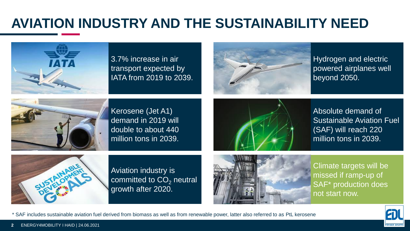### **AVIATION INDUSTRY AND THE SUSTAINABILITY NEED**



3.7% increase in air transport expected by IATA from 2019 to 2039.



Hydrogen and electric powered airplanes well beyond 2050.



Kerosene (Jet A1) demand in 2019 will double to about 440 million tons in 2039.



Absolute demand of Sustainable Aviation Fuel (SAF) will reach 220 million tons in 2039.



Aviation industry is committed to  $CO<sub>2</sub>$  neutral growth after 2020.

\* SAF includes sustainable aviation fuel derived from biomass as well as from renewable power, latter also referred to as PtL kerosene



Climate targets will be missed if ramp-up of SAF\* production does not start now.

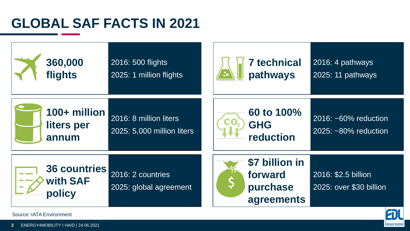### **GLOBAL SAF FACTS IN 2021**



Source: IATA Environment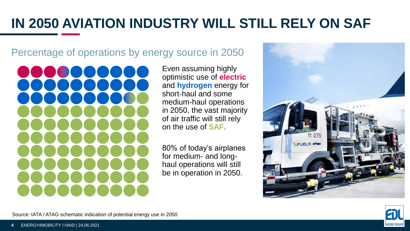## **IN 2050 AVIATION INDUSTRY WILL STILL RELY ON SAF**

#### Percentage of operations by energy source in 2050

Even assuming highly optimistic use of **electric** and **hydrogen** energy for short-haul and some medium-haul operations in 2050, the vast majority of air traffic will still rely on the use of **SAF**.

80% of today's airplanes for medium- and longhaul operations will still be in operation in 2050.





Source: IATA / ATAG schematic indication of potential energy use in 2050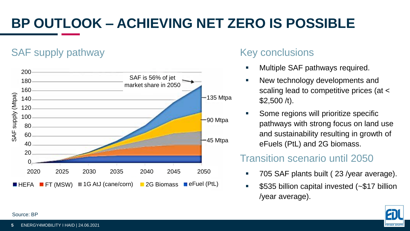# **BP OUTLOOK – ACHIEVING NET ZERO IS POSSIBLE**

### SAF supply pathway



#### Key conclusions

- Multiple SAF pathways required.
- New technology developments and scaling lead to competitive prices (at < \$2,500 /t).
- Some regions will prioritize specific pathways with strong focus on land use and sustainability resulting in growth of eFuels (PtL) and 2G biomass.

#### Transition scenario until 2050

- 705 SAF plants built ( 23 /year average).
- \$535 billion capital invested (~\$17 billion /year average).



#### Source: BP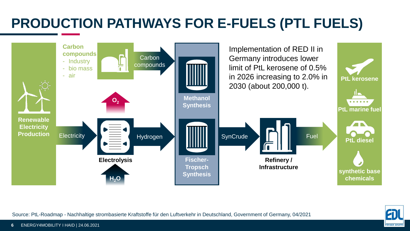## **PRODUCTION PATHWAYS FOR E-FUELS (PTL FUELS)**



**ÖRNER GRUP** 

Source: PtL-Roadmap - Nachhaltige strombasierte Kraftstoffe für den Luftverkehr in Deutschland, Government of Germany, 04/2021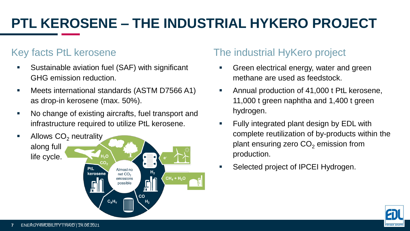# **PTL KEROSENE – THE INDUSTRIAL HYKERO PROJECT**

#### Key facts PtL kerosene

- Sustainable aviation fuel (SAF) with significant GHG emission reduction.
- Meets international standards (ASTM D7566 A1) as drop-in kerosene (max. 50%).
- No change of existing aircrafts, fuel transport and infrastructure required to utilize PtL kerosene.



#### The industrial HyKero project

- Green electrical energy, water and green methane are used as feedstock.
- Annual production of 41,000 t PtL kerosene, 11,000 t green naphtha and 1,400 t green hydrogen.
- Fully integrated plant design by EDL with complete reutilization of by-products within the plant ensuring zero  $CO<sub>2</sub>$  emission from production.
- Selected project of IPCEI Hydrogen.